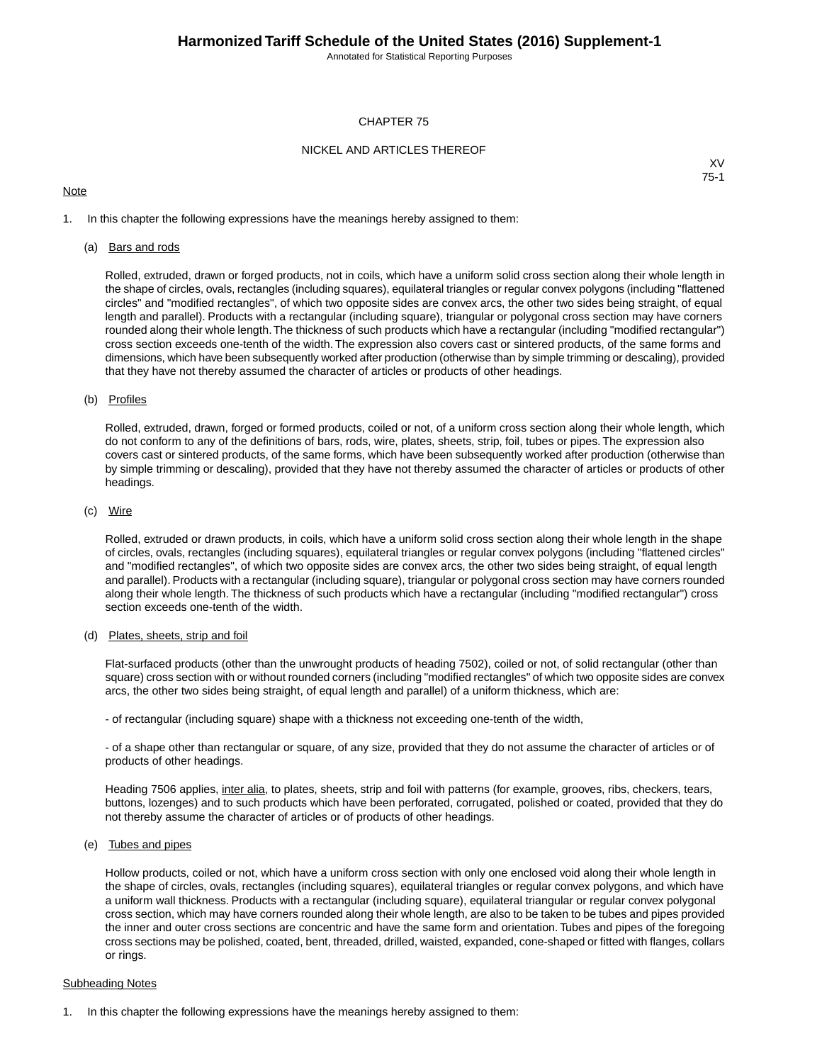Annotated for Statistical Reporting Purposes

### CHAPTER 75

### NICKEL AND ARTICLES THEREOF

### **Note**

XV 75-1

1. In this chapter the following expressions have the meanings hereby assigned to them:

### (a) Bars and rods

Rolled, extruded, drawn or forged products, not in coils, which have a uniform solid cross section along their whole length in the shape of circles, ovals, rectangles (including squares), equilateral triangles or regular convex polygons (including "flattened circles" and "modified rectangles", of which two opposite sides are convex arcs, the other two sides being straight, of equal length and parallel). Products with a rectangular (including square), triangular or polygonal cross section may have corners rounded along their whole length.The thickness of such products which have a rectangular (including "modified rectangular") cross section exceeds one-tenth of the width. The expression also covers cast or sintered products, of the same forms and dimensions, which have been subsequently worked after production (otherwise than by simple trimming or descaling), provided that they have not thereby assumed the character of articles or products of other headings.

### (b) Profiles

Rolled, extruded, drawn, forged or formed products, coiled or not, of a uniform cross section along their whole length, which do not conform to any of the definitions of bars, rods, wire, plates, sheets, strip, foil, tubes or pipes. The expression also covers cast or sintered products, of the same forms, which have been subsequently worked after production (otherwise than by simple trimming or descaling), provided that they have not thereby assumed the character of articles or products of other headings.

### (c) Wire

Rolled, extruded or drawn products, in coils, which have a uniform solid cross section along their whole length in the shape of circles, ovals, rectangles (including squares), equilateral triangles or regular convex polygons (including "flattened circles" and "modified rectangles", of which two opposite sides are convex arcs, the other two sides being straight, of equal length and parallel). Products with a rectangular (including square), triangular or polygonal cross section may have corners rounded along their whole length. The thickness of such products which have a rectangular (including "modified rectangular") cross section exceeds one-tenth of the width.

#### (d) Plates, sheets, strip and foil

Flat-surfaced products (other than the unwrought products of heading 7502), coiled or not, of solid rectangular (other than square) cross section with or without rounded corners (including "modified rectangles" of which two opposite sides are convex arcs, the other two sides being straight, of equal length and parallel) of a uniform thickness, which are:

- of rectangular (including square) shape with a thickness not exceeding one-tenth of the width,

- of a shape other than rectangular or square, of any size, provided that they do not assume the character of articles or of products of other headings.

Heading 7506 applies, inter alia, to plates, sheets, strip and foil with patterns (for example, grooves, ribs, checkers, tears, buttons, lozenges) and to such products which have been perforated, corrugated, polished or coated, provided that they do not thereby assume the character of articles or of products of other headings.

### (e) Tubes and pipes

Hollow products, coiled or not, which have a uniform cross section with only one enclosed void along their whole length in the shape of circles, ovals, rectangles (including squares), equilateral triangles or regular convex polygons, and which have a uniform wall thickness. Products with a rectangular (including square), equilateral triangular or regular convex polygonal cross section, which may have corners rounded along their whole length, are also to be taken to be tubes and pipes provided the inner and outer cross sections are concentric and have the same form and orientation. Tubes and pipes of the foregoing cross sections may be polished, coated, bent, threaded, drilled, waisted, expanded, cone-shaped or fitted with flanges, collars or rings.

### Subheading Notes

1. In this chapter the following expressions have the meanings hereby assigned to them: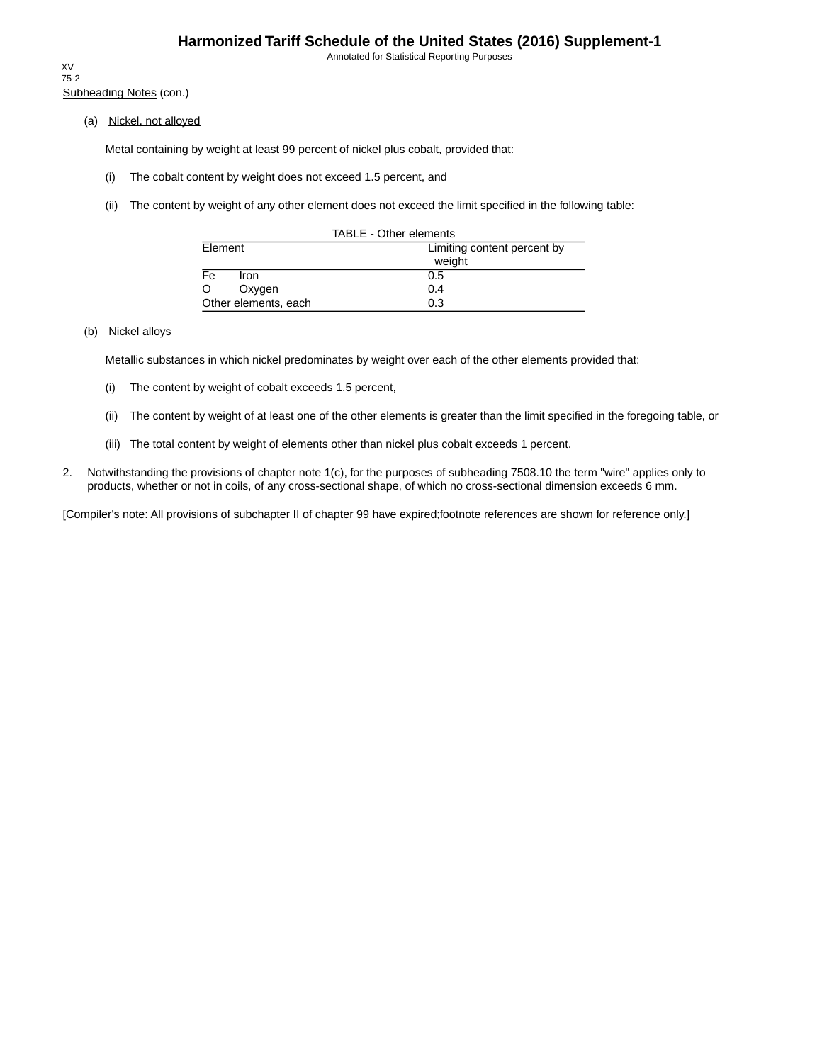Annotated for Statistical Reporting Purposes

Subheading Notes (con.) XV 75-2

(a) Nickel, not alloyed

Metal containing by weight at least 99 percent of nickel plus cobalt, provided that:

- (i) The cobalt content by weight does not exceed 1.5 percent, and
- (ii) The content by weight of any other element does not exceed the limit specified in the following table:

| TABLE - Other elements           |                             |  |  |  |  |  |
|----------------------------------|-----------------------------|--|--|--|--|--|
| Element                          | Limiting content percent by |  |  |  |  |  |
|                                  | weight                      |  |  |  |  |  |
| $\overline{\mathsf{Fe}}$<br>Iron | 0.5                         |  |  |  |  |  |
| O<br>Oxygen                      | 0.4                         |  |  |  |  |  |
| Other elements, each             | 0.3                         |  |  |  |  |  |

## (b) Nickel alloys

Metallic substances in which nickel predominates by weight over each of the other elements provided that:

- (i) The content by weight of cobalt exceeds 1.5 percent,
- (ii) The content by weight of at least one of the other elements is greater than the limit specified in the foregoing table, or
- (iii) The total content by weight of elements other than nickel plus cobalt exceeds 1 percent.
- 2. Notwithstanding the provisions of chapter note 1(c), for the purposes of subheading 7508.10 the term "wire" applies only to products, whether or not in coils, of any cross-sectional shape, of which no cross-sectional dimension exceeds 6 mm.

[Compiler's note: All provisions of subchapter II of chapter 99 have expired;footnote references are shown for reference only.]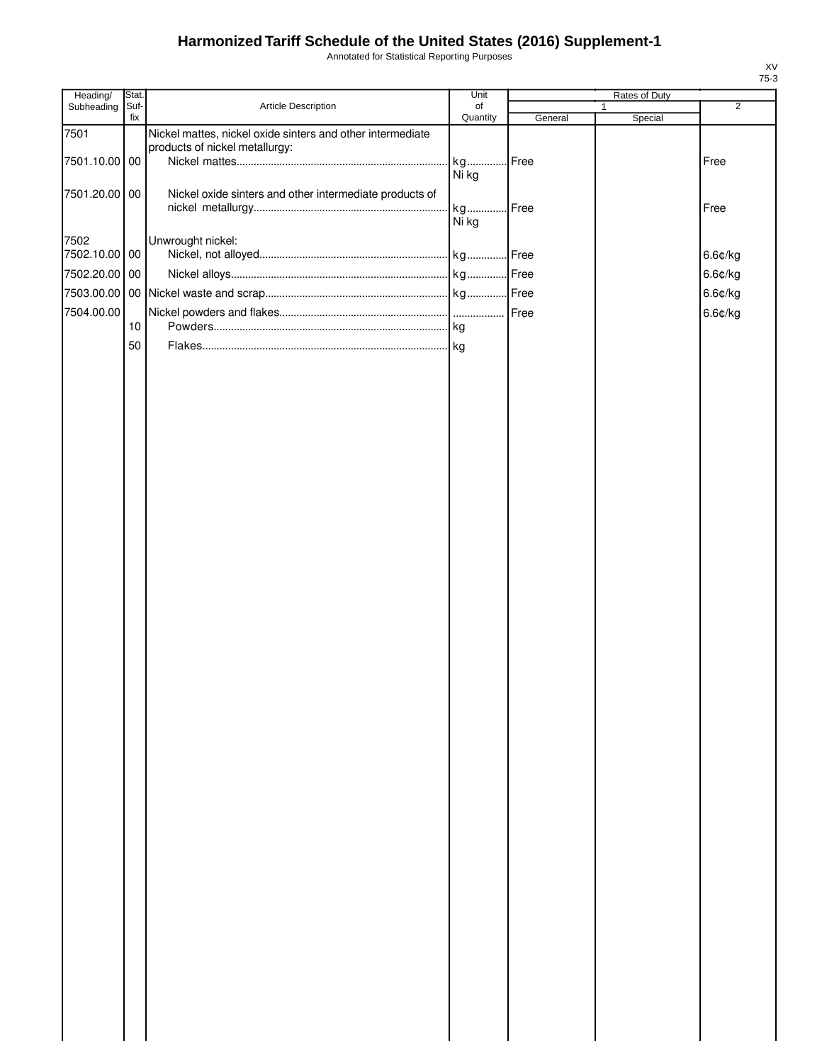Annotated for Statistical Reporting Purposes

| Heading/              | Stat. |                                                            | Unit     |         | Rates of Duty |                |
|-----------------------|-------|------------------------------------------------------------|----------|---------|---------------|----------------|
| Subheading            | Suf-  | Article Description                                        | of       |         |               | $\overline{2}$ |
| 7501                  | fix   | Nickel mattes, nickel oxide sinters and other intermediate | Quantity | General | Special       |                |
|                       |       | products of nickel metallurgy:                             |          |         |               |                |
| 7501.10.00 00         |       |                                                            | kg       | Free    |               | Free           |
|                       |       |                                                            | Ni kg    |         |               |                |
| 7501.20.00 00         |       | Nickel oxide sinters and other intermediate products of    |          |         |               |                |
|                       |       |                                                            | kg       | Free    |               | Free           |
|                       |       |                                                            | Ni kg    |         |               |                |
|                       |       |                                                            |          |         |               |                |
| 7502<br>7502.10.00 00 |       | Unwrought nickel:                                          |          | Free    |               | 6.6¢/kg        |
|                       |       |                                                            |          |         |               |                |
| 7502.20.00 00         |       |                                                            |          |         |               | 6.6¢/kg        |
|                       |       |                                                            |          |         |               | 6.6¢/kg        |
| 7504.00.00            |       |                                                            |          |         |               | 6.6¢/kg        |
|                       | 10    |                                                            |          |         |               |                |
|                       |       |                                                            |          |         |               |                |
|                       | 50    |                                                            |          |         |               |                |
|                       |       |                                                            |          |         |               |                |
|                       |       |                                                            |          |         |               |                |
|                       |       |                                                            |          |         |               |                |
|                       |       |                                                            |          |         |               |                |
|                       |       |                                                            |          |         |               |                |
|                       |       |                                                            |          |         |               |                |
|                       |       |                                                            |          |         |               |                |
|                       |       |                                                            |          |         |               |                |
|                       |       |                                                            |          |         |               |                |
|                       |       |                                                            |          |         |               |                |
|                       |       |                                                            |          |         |               |                |
|                       |       |                                                            |          |         |               |                |
|                       |       |                                                            |          |         |               |                |
|                       |       |                                                            |          |         |               |                |
|                       |       |                                                            |          |         |               |                |
|                       |       |                                                            |          |         |               |                |
|                       |       |                                                            |          |         |               |                |
|                       |       |                                                            |          |         |               |                |
|                       |       |                                                            |          |         |               |                |
|                       |       |                                                            |          |         |               |                |
|                       |       |                                                            |          |         |               |                |
|                       |       |                                                            |          |         |               |                |
|                       |       |                                                            |          |         |               |                |
|                       |       |                                                            |          |         |               |                |
|                       |       |                                                            |          |         |               |                |
|                       |       |                                                            |          |         |               |                |
|                       |       |                                                            |          |         |               |                |
|                       |       |                                                            |          |         |               |                |
|                       |       |                                                            |          |         |               |                |
|                       |       |                                                            |          |         |               |                |
|                       |       |                                                            |          |         |               |                |
|                       |       |                                                            |          |         |               |                |
|                       |       |                                                            |          |         |               |                |
|                       |       |                                                            |          |         |               |                |
|                       |       |                                                            |          |         |               |                |
|                       |       |                                                            |          |         |               |                |
|                       |       |                                                            |          |         |               |                |
|                       |       |                                                            |          |         |               |                |
|                       |       |                                                            |          |         |               |                |
|                       |       |                                                            |          |         |               |                |
|                       |       |                                                            |          |         |               |                |
|                       |       |                                                            |          |         |               |                |
|                       |       |                                                            |          |         |               |                |
|                       |       |                                                            |          |         |               |                |
|                       |       |                                                            |          |         |               |                |
|                       |       |                                                            |          |         |               |                |
|                       |       |                                                            |          |         |               |                |
|                       |       |                                                            |          |         |               |                |

XV 75-3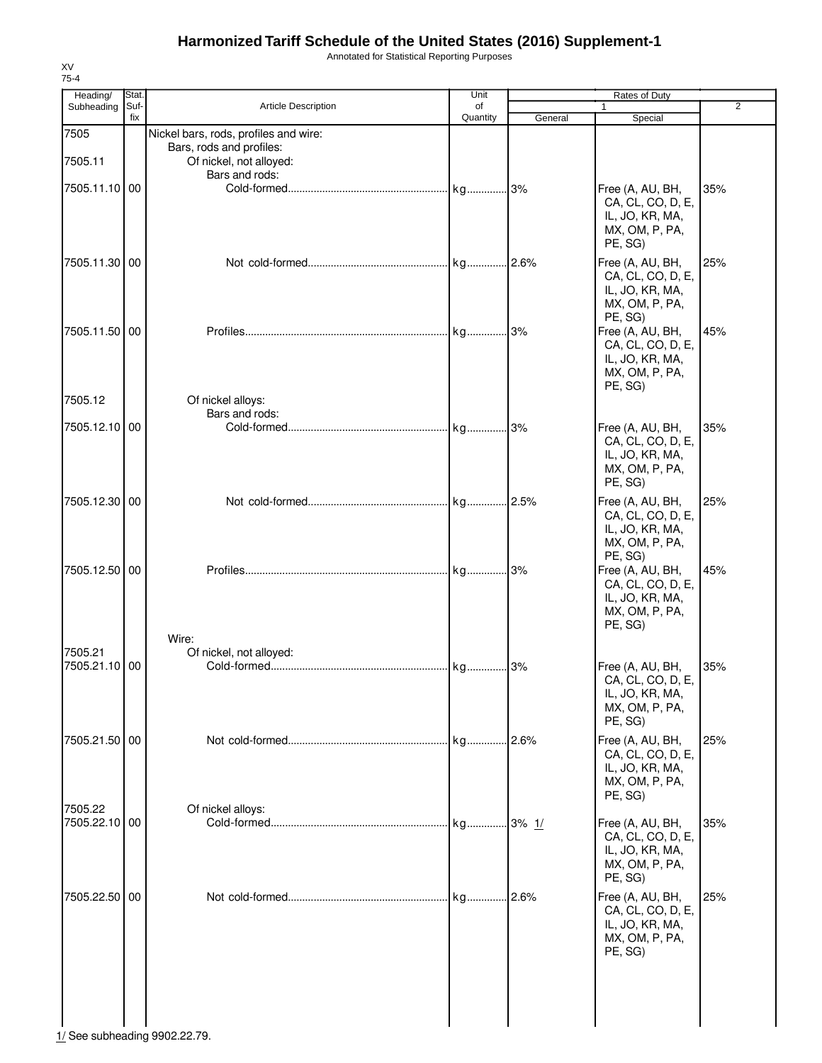Annotated for Statistical Reporting Purposes

| Heading/      | Stat.       |                                           | Unit           |         | Rates of Duty                         |                |
|---------------|-------------|-------------------------------------------|----------------|---------|---------------------------------------|----------------|
| Subheading    | Suf-<br>fix | Article Description                       | of<br>Quantity | General | $\mathbf{1}$<br>Special               | $\overline{2}$ |
| 7505          |             | Nickel bars, rods, profiles and wire:     |                |         |                                       |                |
|               |             | Bars, rods and profiles:                  |                |         |                                       |                |
| 7505.11       |             | Of nickel, not alloyed:<br>Bars and rods: |                |         |                                       |                |
| 7505.11.10 00 |             |                                           |                |         | Free (A, AU, BH,                      | 35%            |
|               |             |                                           |                |         | CA, CL, CO, D, E,                     |                |
|               |             |                                           |                |         | IL, JO, KR, MA,                       |                |
|               |             |                                           |                |         | MX, OM, P, PA,                        |                |
|               |             |                                           |                |         | PE, SG)                               |                |
| 7505.11.30 00 |             |                                           |                |         | Free (A, AU, BH,<br>CA, CL, CO, D, E, | 25%            |
|               |             |                                           |                |         | IL, JO, KR, MA,                       |                |
|               |             |                                           |                |         | MX, OM, P, PA,                        |                |
|               |             |                                           |                |         | PE, SG)                               |                |
| 7505.11.50 00 |             |                                           |                |         | Free (A, AU, BH,                      | 45%            |
|               |             |                                           |                |         | CA, CL, CO, D, E,<br>IL, JO, KR, MA,  |                |
|               |             |                                           |                |         | MX, OM, P, PA,                        |                |
|               |             |                                           |                |         | PE, SG)                               |                |
| 7505.12       |             | Of nickel alloys:                         |                |         |                                       |                |
| 7505.12.10 00 |             | Bars and rods:                            |                | 3%      | Free (A, AU, BH,                      | 35%            |
|               |             |                                           |                |         | CA, CL, CO, D, E,                     |                |
|               |             |                                           |                |         | IL, JO, KR, MA,                       |                |
|               |             |                                           |                |         | MX, OM, P, PA,                        |                |
|               |             |                                           |                |         | PE, SG)                               |                |
| 7505.12.30 00 |             |                                           |                |         | Free (A, AU, BH,                      | 25%            |
|               |             |                                           |                |         | CA, CL, CO, D, E,                     |                |
|               |             |                                           |                |         | IL, JO, KR, MA,<br>MX, OM, P, PA,     |                |
|               |             |                                           |                |         | PE, SG)                               |                |
| 7505.12.50 00 |             |                                           |                |         | Free (A, AU, BH,                      | 45%            |
|               |             |                                           |                |         | CA, CL, CO, D, E,                     |                |
|               |             |                                           |                |         | IL, JO, KR, MA,                       |                |
|               |             |                                           |                |         | MX, OM, P, PA,<br>PE, SG)             |                |
|               |             | Wire:                                     |                |         |                                       |                |
| 7505.21       |             | Of nickel, not alloyed:                   |                |         |                                       |                |
| 7505.21.10 00 |             |                                           |                | 3%      | Free (A, AU, BH,                      | 35%            |
|               |             |                                           |                |         | CA, CL, CO, D, E,<br>IL, JO, KR, MA,  |                |
|               |             |                                           |                |         | MX, OM, P, PA,                        |                |
|               |             |                                           |                |         | PE, SG)                               |                |
| 7505.21.50 00 |             |                                           |                |         | Free (A, AU, BH,                      | 25%            |
|               |             |                                           |                |         | CA, CL, CO, D, E,                     |                |
|               |             |                                           |                |         | IL, JO, KR, MA,<br>MX, OM, P, PA,     |                |
|               |             |                                           |                |         | PE, SG)                               |                |
| 7505.22       |             | Of nickel alloys:                         |                |         |                                       |                |
| 7505.22.10 00 |             |                                           |                |         | Free (A, AU, BH,                      | 35%            |
|               |             |                                           |                |         | CA, CL, CO, D, E,                     |                |
|               |             |                                           |                |         | IL, JO, KR, MA,<br>MX, OM, P, PA,     |                |
|               |             |                                           |                |         | PE, SG)                               |                |
| 7505.22.50 00 |             |                                           | kg 2.6%        |         | Free (A, AU, BH,                      | 25%            |
|               |             |                                           |                |         | CA, CL, CO, D, E,                     |                |
|               |             |                                           |                |         | IL, JO, KR, MA,                       |                |
|               |             |                                           |                |         | MX, OM, P, PA,                        |                |
|               |             |                                           |                |         | PE, SG)                               |                |
|               |             |                                           |                |         |                                       |                |
|               |             |                                           |                |         |                                       |                |
|               |             |                                           |                |         |                                       |                |
|               |             |                                           |                |         |                                       |                |

 $\frac{1}{1}$ See subheading 9902.22.79.

XV 75-4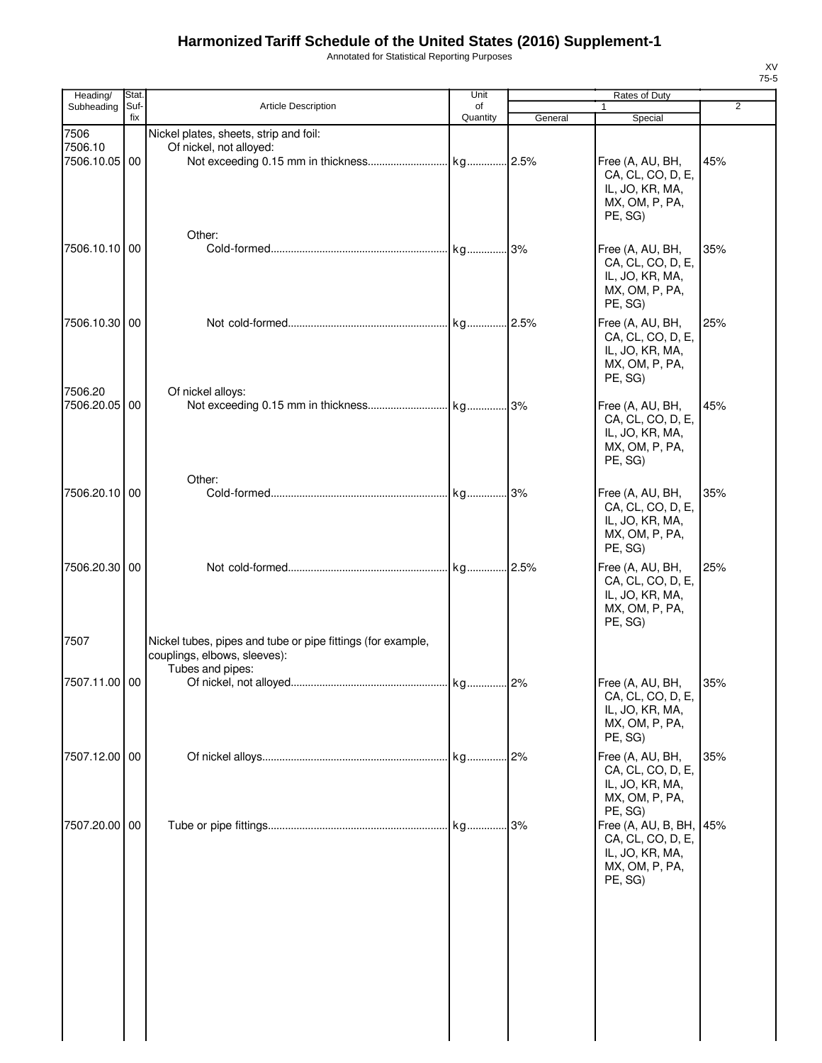Annotated for Statistical Reporting Purposes

| Heading/                      | Stat.       |                                                                                                                 | Unit           |         | Rates of Duty                                                                            |                |
|-------------------------------|-------------|-----------------------------------------------------------------------------------------------------------------|----------------|---------|------------------------------------------------------------------------------------------|----------------|
| Subheading                    | Suf-<br>fix | <b>Article Description</b>                                                                                      | of<br>Quantity | General | $\mathbf{1}$<br>Special                                                                  | $\overline{2}$ |
| 7506<br>7506.10<br>7506.10.05 | 00          | Nickel plates, sheets, strip and foil:<br>Of nickel, not alloyed:                                               |                |         | Free (A, AU, BH,                                                                         | 45%            |
|                               |             |                                                                                                                 |                |         | CA, CL, CO, D, E,<br>IL, JO, KR, MA,<br>MX, OM, P, PA,<br>PE, SG)                        |                |
| 7506.10.10 00                 |             | Other:                                                                                                          |                |         | Free (A, AU, BH,<br>CA, CL, CO, D, E,<br>IL, JO, KR, MA,<br>MX, OM, P, PA,<br>PE, SG)    | 35%            |
| 7506.10.30 00<br>7506.20      |             | Of nickel alloys:                                                                                               |                |         | Free (A, AU, BH,<br>CA, CL, CO, D, E,<br>IL, JO, KR, MA,<br>MX, OM, P, PA,<br>PE, SG)    | 25%            |
| 7506.20.05 00                 |             | Other:                                                                                                          |                |         | Free (A, AU, BH,<br>CA, CL, CO, D, E,<br>IL, JO, KR, MA,<br>MX, OM, P, PA,<br>PE, SG)    | 45%            |
| 7506.20.10 00                 |             |                                                                                                                 |                |         | Free (A, AU, BH,<br>CA, CL, CO, D, E,<br>IL, JO, KR, MA,<br>MX, OM, P, PA,<br>PE, SG)    | 35%            |
| 7506.20.30 00                 |             |                                                                                                                 |                |         | Free (A, AU, BH,<br>CA, CL, CO, D, E,<br>IL, JO, KR, MA,<br>MX, OM, P, PA,<br>PE, SG)    | 25%            |
| 7507                          |             | Nickel tubes, pipes and tube or pipe fittings (for example,<br>couplings, elbows, sleeves):<br>Tubes and pipes: |                |         |                                                                                          |                |
| 7507.11.00 00                 |             |                                                                                                                 |                |         | Free (A, AU, BH,<br>CA, CL, CO, D, E,<br>IL, JO, KR, MA,<br>MX, OM, P, PA,<br>PE, SG)    | 35%            |
| 7507.12.00 00                 |             |                                                                                                                 |                |         | Free (A, AU, BH,<br>CA, CL, CO, D, E,<br>IL, JO, KR, MA,<br>MX, OM, P, PA,<br>PE, SG)    | 35%            |
| 7507.20.00 00                 |             |                                                                                                                 |                |         | Free (A, AU, B, BH,<br>CA, CL, CO, D, E,<br>IL, JO, KR, MA,<br>MX, OM, P, PA,<br>PE, SG) | 45%            |
|                               |             |                                                                                                                 |                |         |                                                                                          |                |

XV 75-5